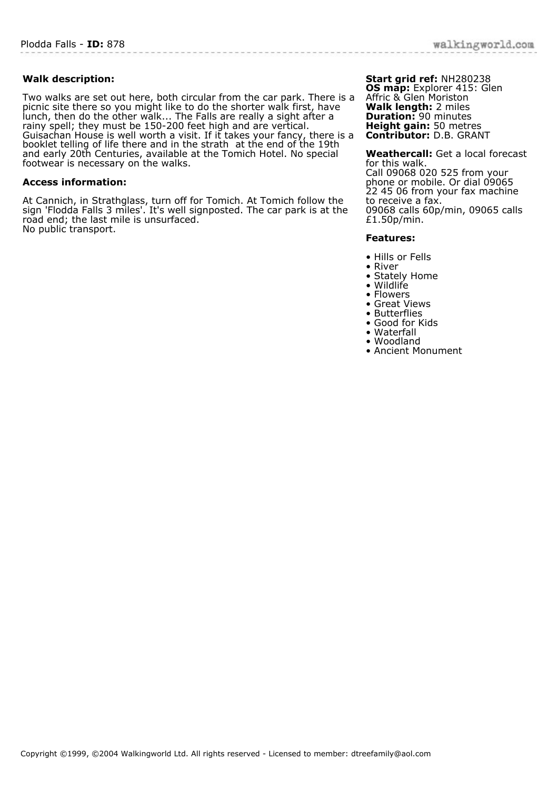## **Walk description:**

Two walks are set out here, both circular from the car park. There is a picnic site there so you might like to do the shorter walk first, have lunch, then do the other walk... The Falls are really a sight after a rainy spell; they must be 150-200 feet high and are vertical. Guisachan House is well worth a visit. If it takes your fancy, there is a booklet telling of life there and in the strath at the end of the 19th and early 20th Centuries, available at the Tomich Hotel. No special footwear is necessary on the walks.

## **Access information:**

At Cannich, in Strathglass, turn off for Tomich. At Tomich follow the sign 'Flodda Falls 3 miles'. It's well signposted. The car park is at the road end; the last mile is unsurfaced. No public transport.

**Start grid ref:** NH280238 **OS map:** Explorer 415: Glen Affric & Glen Moriston **Walk length:** 2 miles **Duration:** 90 minutes **Height gain:** 50 metres **Contributor:** D.B. GRANT

**Weathercall:** Get a local forecast for this walk. Call 09068 020 525 from your phone or mobile. Or dial 09065 22 45 06 from your fax machine to receive a fax. 09068 calls 60p/min, 09065 calls £1.50p/min.

## **Features:**

- Hills or Fells
- River
- Stately Home
- Wildlife
- Flowers
- Great Views
- Butterflies
- Good for Kids • Waterfall
- Woodland
- Ancient Monument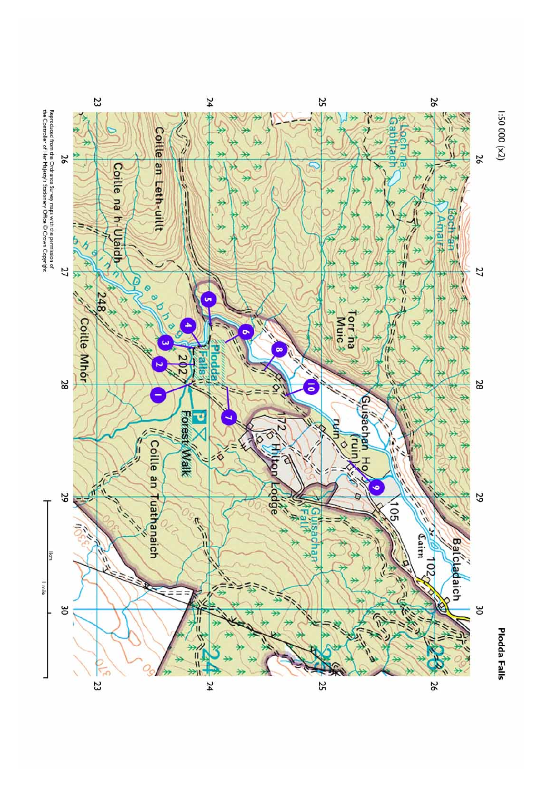